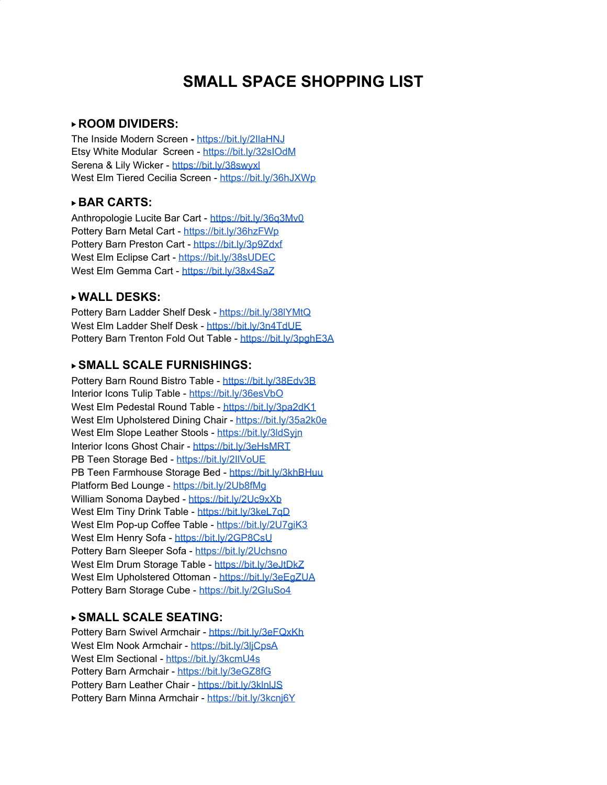

#### ▶ **ROOM DIVIDERS:**

The Inside Modern Screen **-** <https://bit.ly/2IlaHNJ> Etsy White Modular Screen - <https://bit.ly/32sIOdM> Serena & Lily Wicker - <https://bit.ly/38swyxl> West Elm Tiered Cecilia Screen - [https://bit.ly/36hJXW](https://bit.ly/36hJXWp)p

## ▶ **BAR CARTS:**

Anthropologie Lucite Bar Cart - <https://bit.ly/36q3Mv0> Pottery Barn Metal Cart - <https://bit.ly/36hzFWp> Pottery Barn Preston Cart - <https://bit.ly/3p9Zdxf> West Elm Eclipse Cart - <https://bit.ly/38sUDEC> West Elm Gemma Cart - <https://bit.ly/38x4SaZ>

#### ▶ **WALL DESKS:**

Pottery Barn Ladder Shelf Desk - <https://bit.ly/38lYMtQ> West Elm Ladder Shelf Desk - <https://bit.ly/3n4TdUE> Pottery Barn Trenton Fold Out Table - <https://bit.ly/3pghE3A>

## ▶ **SMALL SCALE FURNISHINGS:**

Pottery Barn Round Bistro Table - <https://bit.ly/38Edv3B> Interior Icons Tulip Table - <https://bit.ly/36esVbO> West Elm Pedestal Round Table - <https://bit.ly/3pa2dK1> West Elm Upholstered Dining Chair - <https://bit.ly/35a2k0e> West Elm Slope Leather Stools - https://bit.ly/3ldSvin Interior Icons Ghost Chair - <https://bit.ly/3eHsMRT> PB Teen Storage Bed - <https://bit.ly/2IlVoUE> PB Teen Farmhouse Storage Bed - <https://bit.ly/3khBHuu> Platform Bed Lounge - <https://bit.ly/2Ub8fMg> William Sonoma Daybed - <https://bit.ly/2Uc9xXb> West Elm Tiny Drink Table - <https://bit.ly/3keL7qD> West Elm Pop-up Coffee Table - <https://bit.ly/2U7giK3> West Elm Henry Sofa - <https://bit.ly/2GP8CsU> Pottery Barn Sleeper Sofa - <https://bit.ly/2Uchsno> West Elm Drum Storage Table - <https://bit.ly/3eJtDkZ> West Elm Upholstered Ottoman - https://bit.ly/3eEqZUA Pottery Barn Storage Cube - https://bit.ly/2GluSo4

#### ▶ **SMALL SCALE SEATING:**

Pottery Barn Swivel Armchair - <https://bit.ly/3eFQxKh> West Elm Nook Armchair - https://bit.ly/3liCpsA West Elm Sectional - <https://bit.ly/3kcmU4s> Pottery Barn Armchair - <https://bit.ly/3eGZ8fG> Pottery Barn Leather Chair - <https://bit.ly/3klnlJS> Pottery Barn Minna Armchair - https://bit.ly/3kcni6Y